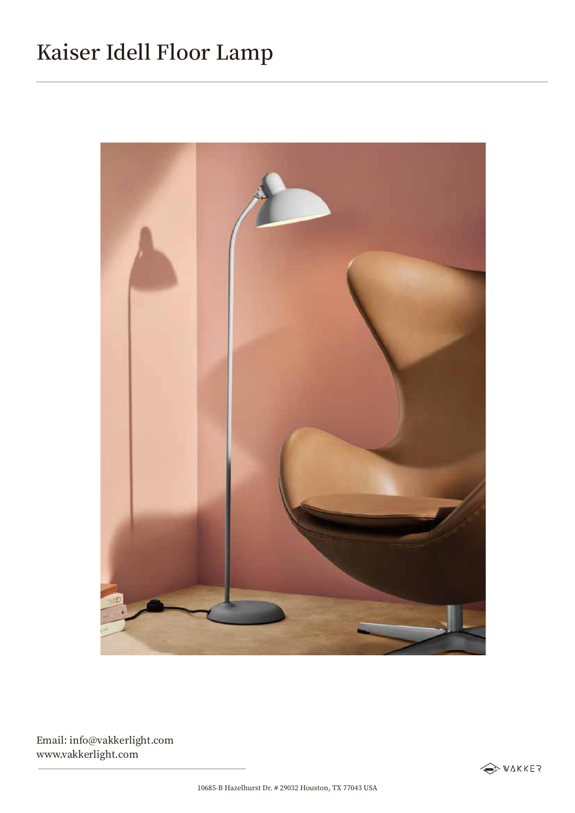## Kaiser Idell Floor Lamp



Email: info@vakkerlight.com www.vakkerlight.com